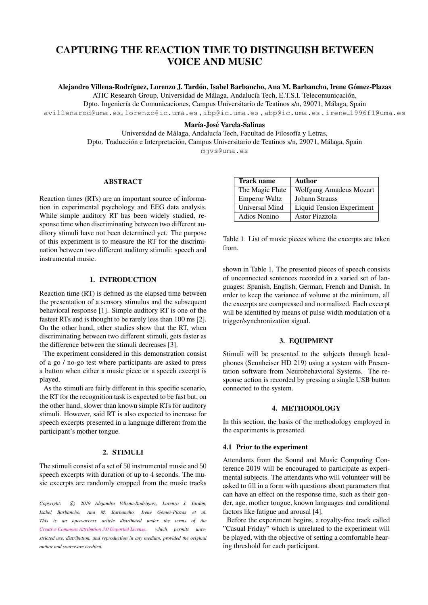# CAPTURING THE REACTION TIME TO DISTINGUISH BETWEEN VOICE AND MUSIC

Alejandro Villena-Rodríguez, Lorenzo J. Tardón, Isabel Barbancho, Ana M. Barbancho, Irene Gómez-Plazas

ATIC Research Group, Universidad de Málaga, Andalucía Tech, E.T.S.I. Telecomunicación,

Dpto. Ingeniería de Comunicaciones, Campus Universitario de Teatinos s/n, 29071, Málaga, Spain [avillenarod@uma.es](mailto:avillenarod@uma.es), [lorenzo@ic.uma.es](mailto:lorenzo@ic.uma.es) , [ibp@ic.uma.es](mailto:ibp@ic.uma.es) , [abp@ic.uma.es](mailto:abp@ic.uma.es) , irene [1996f1@uma.es](mailto:irene{_}1996f1@uma.es)

#### María-José Varela-Salinas

Universidad de Málaga, Andalucía Tech, Facultad de Filosofía y Letras, Dpto. Traducción e Interpretación, Campus Universitario de Teatinos s/n, 29071, Málaga, Spain [mjvs@uma.es](mailto:mjvs@uma.es)

# ABSTRACT

Reaction times (RTs) are an important source of information in experimental psychology and EEG data analysis. While simple auditory RT has been widely studied, response time when discriminating between two different auditory stimuli have not been determined yet. The purpose of this experiment is to measure the RT for the discrimination between two different auditory stimuli: speech and instrumental music.

# 1. INTRODUCTION

Reaction time (RT) is defined as the elapsed time between the presentation of a sensory stimulus and the subsequent behavioral response [\[1\]](#page-1-0). Simple auditory RT is one of the fastest RTs and is thought to be rarely less than 100 ms [\[2\]](#page-1-1). On the other hand, other studies show that the RT, when discriminating between two different stimuli, gets faster as the difference between the stimuli decreases [\[3\]](#page-1-2).

The experiment considered in this demonstration consist of a go / no-go test where participants are asked to press a button when either a music piece or a speech excerpt is played.

As the stimuli are fairly different in this specific scenario, the RT for the recognition task is expected to be fast but, on the other hand, slower than known simple RTs for auditory stimuli. However, said RT is also expected to increase for speech excerpts presented in a language different from the participant's mother tongue.

## 2. STIMULI

The stimuli consist of a set of 50 instrumental music and 50 speech excerpts with duration of up to 4 seconds. The music excerpts are randomly cropped from the music tracks

Copyright:  $\odot$  2019 Alejandro Villena-Rodríguez, Lorenzo J. Tardón, *Isabel Barbancho, Ana M. Barbancho, Irene Gomez-Plazas et al. ´ This is an open-access article distributed under the terms of the [Creative Commons Attribution 3.0 Unported License,](http://creativecommons.org/licenses/by/3.0/) which permits unrestricted use, distribution, and reproduction in any medium, provided the original author and source are credited.*

| <b>Track name</b>    | <b>Author</b>             |
|----------------------|---------------------------|
| The Magic Flute      | Wolfgang Amadeus Mozart   |
| <b>Emperor Waltz</b> | Johann Strauss            |
| Universal Mind       | Liquid Tension Experiment |
| <b>Adios Nonino</b>  | Astor Piazzola            |

Table 1. List of music pieces where the excerpts are taken from.

shown in Table 1. The presented pieces of speech consists of unconnected sentences recorded in a varied set of languages: Spanish, English, German, French and Danish. In order to keep the variance of volume at the minimum, all the excerpts are compressed and normalized. Each excerpt will be identified by means of pulse width modulation of a trigger/synchronization signal.

## 3. EQUIPMENT

Stimuli will be presented to the subjects through headphones (Sennheiser HD 219) using a system with Presentation software from Neurobehavioral Systems. The response action is recorded by pressing a single USB button connected to the system.

## 4. METHODOLOGY

In this section, the basis of the methodology employed in the experiments is presented.

#### 4.1 Prior to the experiment

Attendants from the Sound and Music Computing Conference 2019 will be encouraged to participate as experimental subjects. The attendants who will volunteer will be asked to fill in a form with questions about parameters that can have an effect on the response time, such as their gender, age, mother tongue, known languages and conditional factors like fatigue and arousal [\[4\]](#page-1-3).

Before the experiment begins, a royalty-free track called "Casual Friday" which is unrelated to the experiment will be played, with the objective of setting a comfortable hearing threshold for each participant.